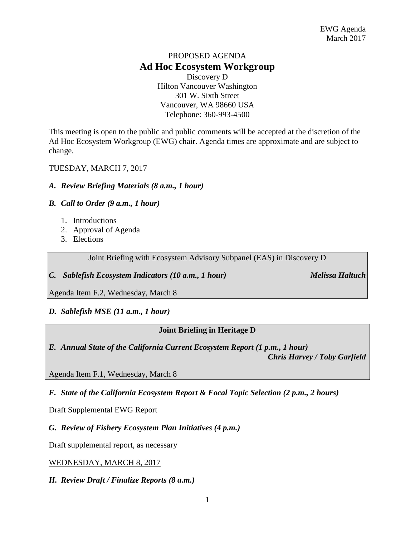# PROPOSED AGENDA **Ad Hoc Ecosystem Workgroup**

Discovery D Hilton Vancouver Washington 301 W. Sixth Street Vancouver, WA 98660 USA Telephone: 360-993-4500

This meeting is open to the public and public comments will be accepted at the discretion of the Ad Hoc Ecosystem Workgroup (EWG) chair. Agenda times are approximate and are subject to change.

## TUESDAY, MARCH 7, 2017

#### *A. Review Briefing Materials (8 a.m., 1 hour)*

## *B. Call to Order (9 a.m., 1 hour)*

- 1. Introductions
- 2. Approval of Agenda
- 3. Elections

Joint Briefing with Ecosystem Advisory Subpanel (EAS) in Discovery D

*C. Sablefish Ecosystem Indicators (10 a.m., 1 hour) Melissa Haltuch*

Agenda Item F.2, Wednesday, March 8

# *D. Sablefish MSE (11 a.m., 1 hour)*

# **Joint Briefing in Heritage D**

*E. Annual State of the California Current Ecosystem Report (1 p.m., 1 hour) Chris Harvey / Toby Garfield*

Agenda Item F.1, Wednesday, March 8

*F. State of the California Ecosystem Report & Focal Topic Selection (2 p.m., 2 hours)*

Draft Supplemental EWG Report

*G. Review of Fishery Ecosystem Plan Initiatives (4 p.m.)*

Draft supplemental report, as necessary

#### WEDNESDAY, MARCH 8, 2017

*H. Review Draft / Finalize Reports (8 a.m.)*